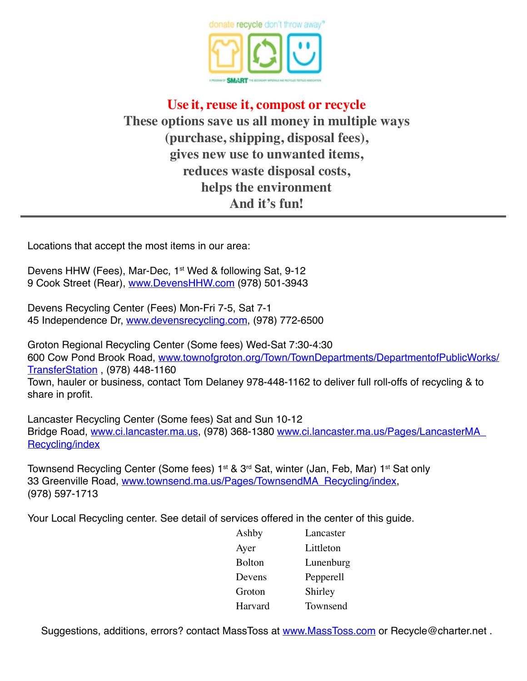

# **Use it, reuse it, compost or recycle These options save us all money in multiple ways (purchase, shipping, disposal fees), gives new use to unwanted items, reduces waste disposal costs, helps the environment And it's fun!**

Locations that accept the most items in our area:

Devens HHW (Fees), Mar-Dec, 1<sup>st</sup> Wed & following Sat, 9-12 9 Cook Street (Rear), [www.DevensHHW.com](http://www.DevensHHW.com) (978) 501-3943

Devens Recycling Center (Fees) Mon-Fri 7-5, Sat 7-1 45 Independence Dr, [www.devensrecycling.com](http://www.devensrecycling.com), (978) 772-6500

Groton Regional Recycling Center (Some fees) Wed-Sat 7:30-4:30 600 Cow Pond Brook Road, [www.townofgroton.org/Town/TownDepartments/DepartmentofPublicWorks/](http://www.townofgroton.org/Town/TownDepartments/DepartmentofPublicWorks/TransferStation.aspx) [TransferStation](http://www.townofgroton.org/Town/TownDepartments/DepartmentofPublicWorks/TransferStation.aspx) , (978) 448-1160 Town, hauler or business, contact Tom Delaney 978-448-1162 to deliver full roll-offs of recycling & to share in profit.

Lancaster Recycling Center (Some fees) Sat and Sun 10-12 Bridge Road, [www.ci.lancaster.ma.us](http://www.ci.lancaster.ma.us), (978) 368-1380 [www.ci.lancaster.ma.us/Pages/LancasterMA\\_](http://www.ci.lancaster.ma.us/Pages/LancasterMA_Recycling/index) [Recycling/index](http://www.ci.lancaster.ma.us/Pages/LancasterMA_Recycling/index)

Townsend Recycling Center (Some fees) 1<sup>st</sup> & 3<sup>rd</sup> Sat, winter (Jan, Feb, Mar) 1<sup>st</sup> Sat only 33 Greenville Road, [www.townsend.ma.us/Pages/TownsendMA\\_Recycling/index,](http://townsend.ma.us/Pages/TownsendMA_Recycling/index) (978) 597-1713

Your Local Recycling center. See detail of services offered in the center of this guide.

| Ashby         | Lancaster |
|---------------|-----------|
| Ayer          | Littleton |
| <b>Bolton</b> | Lunenburg |
| Devens        | Pepperell |
| Groton        | Shirley   |
| Harvard       | Townsend  |
|               |           |

Suggestions, additions, errors? contact MassToss at [www.MassToss.com](http://www.MassToss.com) or Recycle@charter.net.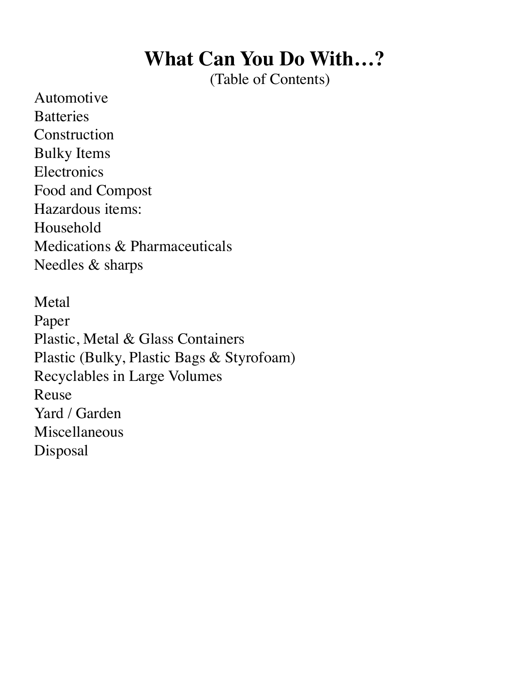# **What Can You Do With…?**

(Table of Contents)

<span id="page-1-0"></span>[Automotive](#page-2-0)  **[Batteries](#page-3-0)** [Construction](#page-3-0) [Bulky Items](#page-5-0) [Electronics](#page-6-0) [Food and Compost](#page-7-0) [Hazardous items:](#page-8-0)  Household [Medications & Pharmaceuticals](#page-9-0) [Needles & sharps](#page-10-0)

[Metal](#page-11-0) [Paper](#page-12-0) [Plastic, Metal & Glass Containers](#page-13-0) [Plastic \(Bulky, Plastic Bags & Styrofoam\)](#page-13-0) [Recyclables in Large Volumes](#page-15-0)  [Reuse](#page-15-0) [Yard / Garden](#page-20-0) [Miscellaneous](#page-20-0)  [Disposal](#page-23-0)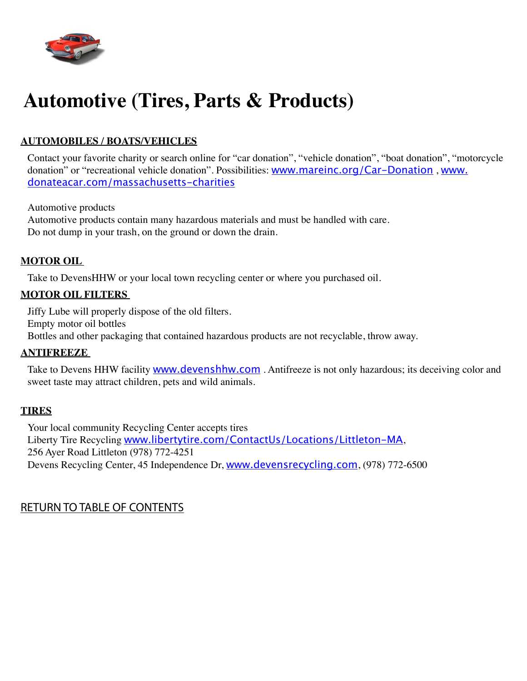<span id="page-2-0"></span>

# **Automotive (Tires, Parts & Products)**

### **Automobiles / boats/Vehicles**

Contact your favorite charity or search online for "car donation", "vehicle donation", "boat donation", "motorcycle donation" or "recreational vehicle donation". Possibilities: [www.mareinc.org/Car-Donation](http://www.mareinc.org/Car-Donation), [www.](http://www.donateacar.com/massachusetts-charities) [donateacar.com/massachusetts-charities](http://www.donateacar.com/massachusetts-charities)

Automotive products

Automotive products contain many hazardous materials and must be handled with care. Do not dump in your trash, on the ground or down the drain.

#### **MOTOR OIL**

Take to DevensHHW or your local town recycling center or where you purchased oil.

#### **Motor oil filters**

Jiffy Lube will properly dispose of the old filters. Empty motor oil bottles Bottles and other packaging that contained hazardous products are not recyclable, throw away.

#### **Antifreeze**

Take to Devens HHW facility **[www.devenshhw.com](http://www.devenshhw.com)** . Antifreeze is not only hazardous; its deceiving color and sweet taste may attract children, pets and wild animals.

#### **Tires**

Your local community Recycling Center accepts tires Liberty Tire Recycling [www.libertytire.com/ContactUs/Locations/Littleton-MA](http://www.libertytire.com/ContactUs/Locations/Littleton-MA.aspx), 256 Ayer Road Littleton (978) 772-4251 Devens Recycling Center, 45 Independence Dr, [www.devensrecycling.com](http://www.devensrecycling.com), (978) 772-6500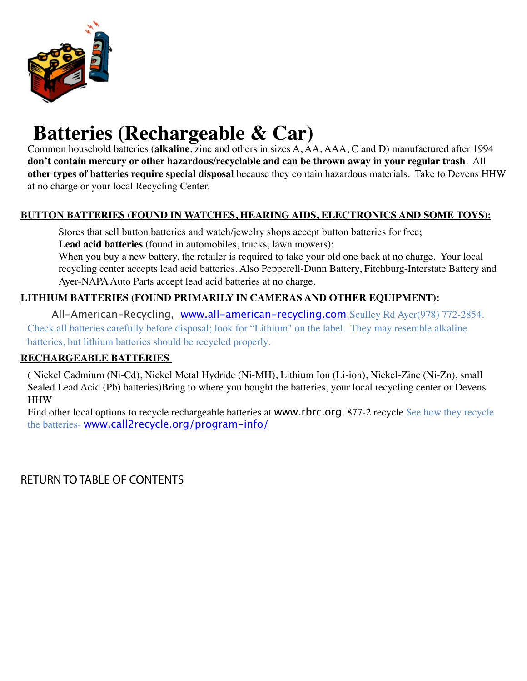<span id="page-3-0"></span>

# **Batteries (Rechargeable & Car)**

Common household batteries (**alkaline**, zinc and others in sizes A, AA, AAA, C and D) manufactured after 1994 **don't contain mercury or other hazardous/recyclable and can be thrown away in your regular trash**. All **other types of batteries require special disposal** because they contain hazardous materials. Take to Devens HHW at no charge or your local Recycling Center.

## **Button batteries (found in watches, hearing aids, electronics and some toys):**

Stores that sell button batteries and watch/jewelry shops accept button batteries for free; **Lead acid batteries** (found in automobiles, trucks, lawn mowers): When you buy a new battery, the retailer is required to take your old one back at no charge. Your local

recycling center accepts lead acid batteries. Also Pepperell-Dunn Battery, Fitchburg-Interstate Battery and Ayer-NAPA Auto Parts accept lead acid batteries at no charge.

## **Lithium batteries (found primarily in cameras and other equipment):**

All-American-Recycling, [www.all-american-recycling.com](http://www.all-american-recycling.com) Sculley Rd Ayer(978) 772-2854. Check all batteries carefully before disposal; look for "Lithium" on the label. They may resemble alkaline batteries, but lithium batteries should be recycled properly.

#### **Rechargeable batteries**

( Nickel Cadmium (Ni-Cd), Nickel Metal Hydride (Ni-MH), Lithium Ion (Li-ion), Nickel-Zinc (Ni-Zn), small Sealed Lead Acid (Pb) batteries)Bring to where you bought the batteries, your local recycling center or Devens **HHW** 

Find other local options to recycle rechargeable batteries at [www.rbrc.org](http://www.rbrc.org). 877-2 recycle See how they recycle the batteries- **[www.call2recycle.org/program-info/](http://www.call2recycle.org/program-info/)**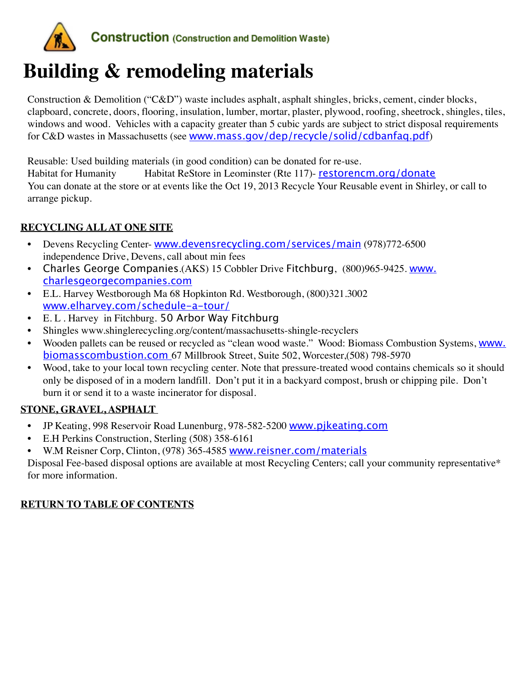

# **[Building & remodeling materials](#page-3-0)**

Construction & Demolition ("C&D") waste includes asphalt, asphalt shingles, bricks, cement, cinder blocks, clapboard, concrete, doors, flooring, insulation, lumber, mortar, plaster, plywood, roofing, sheetrock, shingles, tiles, windows and wood. Vehicles with a capacity greater than 5 cubic yards are subject to strict disposal requirements for C&D wastes in Massachusetts (see [www.mass.gov/dep/recycle/solid/cdbanfaq.pdf](file:///C:\Users\Contessa\AppData\Local\Microsoft\Windows\Temporary%20Internet%20Files\OLK6BEF\www.mass.gov\dep\recycle\solid\cdbanfaq.pdf))

Reusable: Used building materials (in good condition) can be donated for re-use. Habitat for Humanity Habitat ReStore in Leominster (Rte 117)- [restorencm.org/donate](http://restorencm.org/donate) You can donate at the store or at events like the Oct 19, 2013 Recycle Your Reusable event in Shirley, or call to arrange pickup.

## **Recycling All at one site**

- Devens Recycling Center- [www.devensrecycling.com/services/main](http://www.devensrecycling.com/services/main.htm) (978)772-6500 independence Drive, Devens, call about min fees
- Charles George Companies.(AKS) 15 Cobbler Drive Fitchburg, (800)965-9425. [www.](http://www.charlesgeorgecompanies.com) [charlesgeorgecompanies.com](http://www.charlesgeorgecompanies.com)
- E.L. Harvey Westborough Ma 68 Hopkinton Rd. Westborough, (800)321.3002 [www.elharvey.com/schedule-a-tour/](http://www.elharvey.com/schedule-a-tour/)
- E. L . Harvey in Fitchburg. 50 Arbor Way Fitchburg
- Shingles www.shinglerecycling.org/content/massachusetts-shingle-recyclers
- Wooden pallets can be reused or recycled as "clean wood waste." Wood: Biomass Combustion Systems, [www.](http://www.biomasscombustion.com) [biomasscombustion.com](http://www.biomasscombustion.com) 67 Millbrook Street, Suite 502, Worcester,(508) 798-5970
- Wood, take to your local town recycling center. Note that pressure-treated wood contains chemicals so it should only be disposed of in a modern landfill. Don't put it in a backyard compost, brush or chipping pile. Don't burn it or send it to a waste incinerator for disposal.

## **Stone, Gravel, asphalt**

- JP Keating, 998 Reservoir Road Lunenburg, 978-582-5200 [www.pjkeating.com](http://www.pjkeating.com)
- E.H Perkins Construction, Sterling (508) 358-6161
- W.M Reisner Corp, Clinton, (978) 365-4585 [www.reisner.com/materials](http://www.reisner.com/materials)

Disposal Fee-based disposal options are available at most Recycling Centers; call your community representative\* for more information.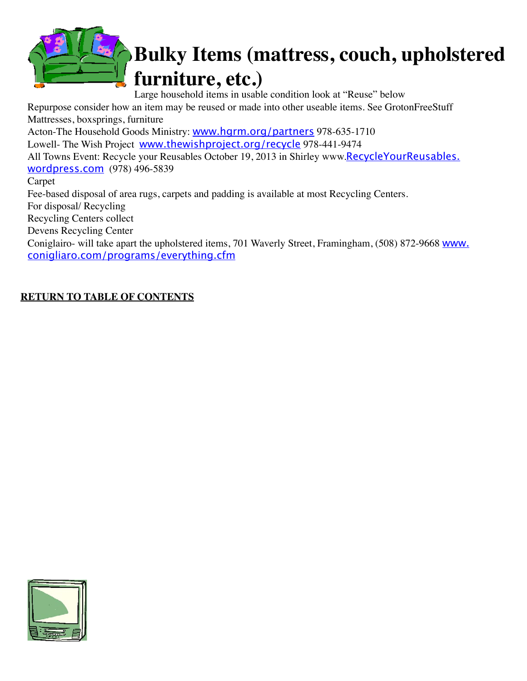<span id="page-5-0"></span>

# **Bulky Items (mattress, couch, upholstered furniture, etc.)**

Large household items in usable condition look at "Reuse" below

Repurpose consider how an item may be reused or made into other useable items. See GrotonFreeStuff Mattresses, boxsprings, furniture

Acton-The Household Goods Ministry: [www.hgrm.org/partners](http://www.hgrm.org/partners.htm) 978-635-1710 Lowell- The Wish Project [www.thewishproject.org/recycle](http://www.thewishproject.org/recycle) 978-441-9474 All Towns Event: Recycle your Reusables October 19, 2013 in Shirley www.**[RecycleYourReusables.](http://recycleyourreusables.wordpress.com)** [wordpress.com](http://recycleyourreusables.wordpress.com) (978) 496-5839 Carpet Fee-based disposal of area rugs, carpets and padding is available at most Recycling Centers. For disposal/ Recycling Recycling Centers collect Devens Recycling Center

Coniglairo- will take apart the upholstered items, 701 Waverly Street, Framingham, (508) 872-9668 [www.](http://www.conigliaro.com/programs/everything.cfm) [conigliaro.com/programs/everything.cfm](http://www.conigliaro.com/programs/everything.cfm)

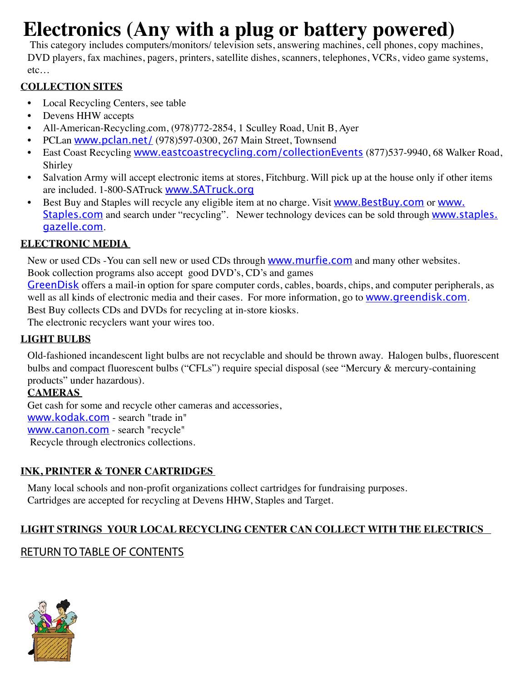# <span id="page-6-0"></span>**Electronics (Any with a plug or battery powered)**

 This category includes computers/monitors/ television sets, answering machines, cell phones, copy machines, DVD players, fax machines, pagers, printers, satellite dishes, scanners, telephones, VCRs, video game systems, etc…

## **Collection sites**

- Local Recycling Centers, see table
- Devens HHW accepts
- All-American-Recycling.com, (978)772-2854, 1 Sculley Road, Unit B, Ayer
- PCLan [www.pclan.net/](http://pclan.net/) (978)597-0300, 267 Main Street, Townsend
- East Coast Recycling [www.eastcoastrecycling.com/collectionEvents](http://www.eastcoastrecycling.com/collectionEvents.html) (877)537-9940, 68 Walker Road, Shirley
- Salvation Army will accept electronic items at stores, Fitchburg. Will pick up at the house only if other items are included. 1-800-SATruck [www.SATruck.org](http://www.SATruck.org)
- Best Buy and Staples will recycle any eligible item at no charge. Visit **WWW.BestBuy.com** or **WWW.** [Staples.com](http://www.Staples.com) and search under "recycling". Newer technology devices can be sold through [www.staples.](http://www.staples.gazelle.com) [gazelle.com](http://www.staples.gazelle.com).

# **Electronic media**

New or used CDs -You can sell new or used CDs through **[www.murfie.com](http://www.murfie.com)** and many other websites.

Book collection programs also accept good DVD's, CD's and games

[GreenDisk](http://www.greendisk.com) offers a mail-in option for spare computer cords, cables, boards, chips, and computer peripherals, as well as all kinds of electronic media and their cases. For more information, go to **[www.greendisk.com](http://www.greendisk.com)**. [Best Buy](http://earth911.com/blog/2009/12/17/best-buys-recycling-program-is-expensive-but-worth-it/) collects CDs and DVDs for recycling at in-store kiosks.

The electronic recyclers want your wires too.

## **Light bulbs**

Old-fashioned incandescent light bulbs are not recyclable and should be thrown away. Halogen bulbs, fluorescent bulbs and compact fluorescent bulbs ("CFLs") require special disposal (see "Mercury & mercury-containing products" under hazardous).

## **Cameras**

Get cash for some and recycle other cameras and accessories, [www.kodak.com](http://www.kodak.com) - search "trade in" [www.canon.com](http://www.canon.com) - search "recycle" Recycle through electronics collections.

# **Ink, printer & toner cartridges**

Many local schools and non-profit organizations collect cartridges for fundraising purposes. Cartridges are accepted for recycling at Devens HHW, Staples and Target.

# **Light strings Your local recycling center can collect with the electrics**

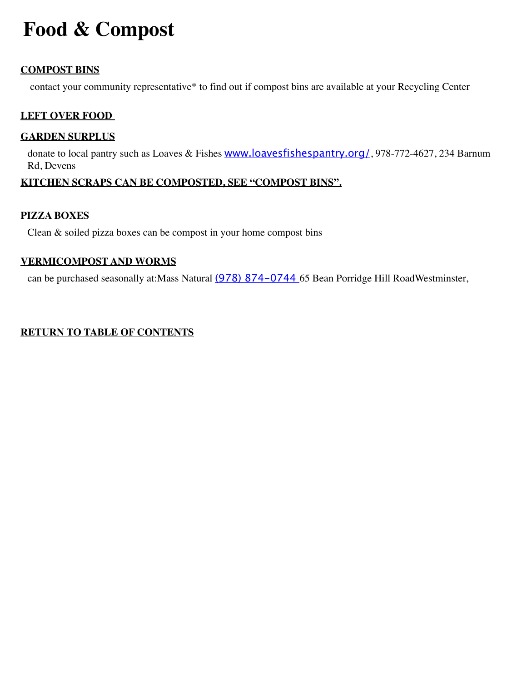# <span id="page-7-0"></span>**Food & Compost**

#### **Compost Bins**

contact your community representative\* to find out if compost bins are available at your Recycling Center

#### **Left over food**

#### **Garden surplus**

donate to local pantry such as Loaves & Fishes [www.loavesfishespantry.org/](http://www.loavesfishespantry.org/), 978-772-4627, 234 Barnum Rd, Devens

#### **Kitchen scraps can be composted, see "compost bins".**

#### **Pizza boxes**

Clean & soiled pizza boxes can be compost in your home compost bins

#### **Vermicompost and worms**

can be purchased seasonally at:Mass Natural (978) 874-0744 65 Bean Porridge Hill RoadWestminster,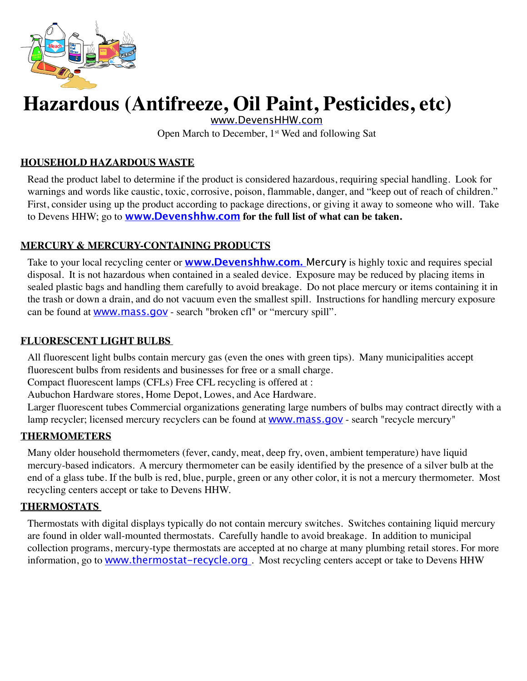<span id="page-8-0"></span>

# **Hazardous (Antifreeze, Oil Paint, Pesticides, etc)**

[www.DevensHHW.com](http://www.DevensHHW.com)

Open March to December, 1<sup>st</sup> Wed and following Sat

#### **household Hazardous waste**

Read the product label to determine if the product is considered hazardous, requiring special handling. Look for warnings and words like caustic, toxic, corrosive, poison, flammable, danger, and "keep out of reach of children." First, consider using up the product according to package directions, or giving it away to someone who will. Take to Devens HHW; go to **[www.Devenshhw.com](http://www.Devenshhw.com) for the full list of what can be taken.**

#### **Mercury & mercury-containing products**

Take to your local recycling center or **[www.Devenshhw.com.](http://www.Devenshhw.com)** [Mercury](http://www.franklincountywastedistrict.org/mercury.html) is highly toxic and requires special disposal. It is not hazardous when contained in a sealed device. Exposure may be reduced by placing items in sealed plastic bags and handling them carefully to avoid breakage. Do not place mercury or items containing it in the trash or down a drain, and do not vacuum even the smallest spill. Instructions for handling mercury exposure can be found at **WWW.mass.gov** - search "broken cfl" or "mercury spill".

#### **Fluorescent light bulbs**

All fluorescent light bulbs contain mercury gas (even the ones with green tips). Many municipalities accept fluorescent bulbs from residents and businesses for free or a small charge.

Compact fluorescent lamps (CFLs) Free CFL recycling is offered at :

Aubuchon Hardware stores, Home Depot, Lowes, and Ace Hardware.

Larger fluorescent tubes Commercial organizations generating large numbers of bulbs may contract directly with a lamp recycler; licensed mercury recyclers can be found at **WWW.mass.gov** - search "recycle mercury"

#### **Thermometers**

Many older household thermometers (fever, candy, meat, deep fry, oven, ambient temperature) have liquid mercury-based indicators. A mercury thermometer can be easily identified by the presence of a silver bulb at the end of a glass tube. If the bulb is red, blue, purple, green or any other color, it is not a mercury thermometer. Most recycling centers accept or take to Devens HHW.

#### **Thermostats**

Thermostats with digital displays typically do not contain mercury switches. Switches containing liquid mercury are found in older wall-mounted thermostats. Carefully handle to avoid breakage. In addition to municipal collection programs, mercury-type thermostats are accepted at no charge at many plumbing retail stores. For more information, go to **[www.thermostat-recycle.org](http://www.thermostat-recycle.org)**. Most recycling centers accept or take to Devens HHW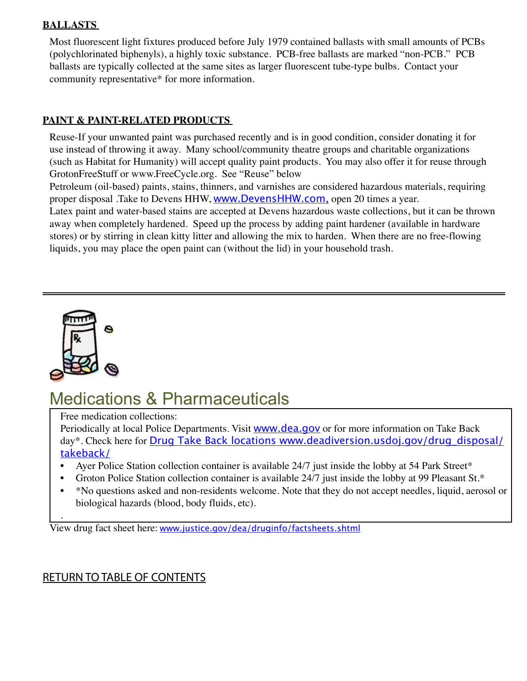#### <span id="page-9-0"></span>**Ballasts**

Most fluorescent light fixtures produced before July 1979 contained ballasts with small amounts of PCBs (polychlorinated biphenyls), a highly toxic substance. PCB-free ballasts are marked "non-PCB." PCB ballasts are typically collected at the same sites as larger fluorescent tube-type bulbs. Contact your community representative\* for more information.

#### **Paint & paint-related products**

Reuse-If your unwanted paint was purchased recently and is in good condition, consider donating it for use instead of throwing it away. Many school/community theatre groups and charitable organizations (such as Habitat for Humanity) will accept quality paint products. You may also offer it for reuse through GrotonFreeStuff or www.FreeCycle.org. See "Reuse" below

Petroleum (oil-based) paints, stains, thinners, and varnishes are considered hazardous materials, requiring proper disposal .Take to Devens HHW, [www.DevensHHW.com](http://www.DevensHHW.com), open 20 times a year. Latex paint and water-based stains are accepted at Devens hazardous waste collections, but it can be thrown

away when completely hardened. Speed up the process by adding paint hardener (available in hardware stores) or by stirring in clean kitty litter and allowing the mix to harden. When there are no free-flowing liquids, you may place the open paint can (without the lid) in your household trash.



.

# Medications & Pharmaceuticals

Free medication collections:

Periodically at local Police Departments. Visit **[www.dea.gov](http://www.deadiversion.usdoj.gov/drug_disposal/takeback/index.html)** or for more information on Take Back day\*. Check here for **[Drug Take Back locations](http://www.deadiversion.usdoj.gov/drug_disposal/takeback/index.html) [www.deadiversion.usdoj.gov/drug\\_disposal/](http://www.deadiversion.usdoj.gov/drug_disposal/takeback/)** [takeback/](http://www.deadiversion.usdoj.gov/drug_disposal/takeback/)

- Ayer Police Station collection container is available 24/7 just inside the lobby at 54 Park Street\*
- Groton Police Station collection container is available 24/7 just inside the lobby at 99 Pleasant St.\*
- \*No questions asked and non-residents welcome. Note that they do not accept needles, liquid, aerosol or biological hazards (blood, body fluids, etc).

View drug fact sheet here: [www.justice.gov/dea/druginfo/factsheets.shtml](http://www.justice.gov/dea/druginfo/factsheets.shtml)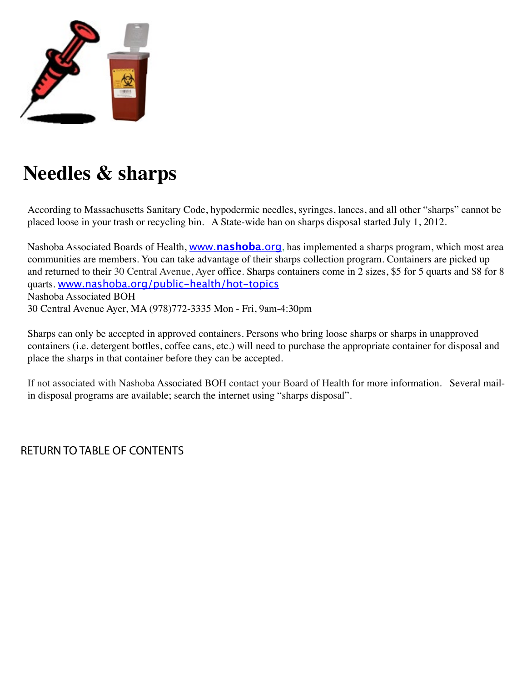<span id="page-10-0"></span>

# **Needles & sharps**

According to Massachusetts Sanitary Code, hypodermic needles, syringes, lances, and all other "sharps" cannot be placed loose in your trash or recycling bin. A State-wide ban on sharps disposal started July 1, 2012.

Nashoba Associated Boards of Health, www.**[nashoba](http://www.nashoba.org)**.org, has implemented a sharps program, which most area communities are members. You can take advantage of their sharps collection program. Containers are picked up and returned to their 30 Central Avenue, Ayer office. Sharps containers come in 2 sizes, \$5 for 5 quarts and \$8 for 8 quarts. [www.nashoba.org/public-health/hot-topics](http://www.nashoba.org/public-health/hot-topics) Nashoba Associated BOH 30 Central Avenue Ayer, MA (978)772-3335 Mon - Fri, 9am-4:30pm

Sharps can only be accepted in approved containers. Persons who bring loose sharps or sharps in unapproved containers (i.e. detergent bottles, coffee cans, etc.) will need to purchase the appropriate container for disposal and place the sharps in that container before they can be accepted.

If not associated with Nashoba Associated BOH contact your Board of Health for more information. Several mailin disposal programs are available; search the internet using "sharps disposal".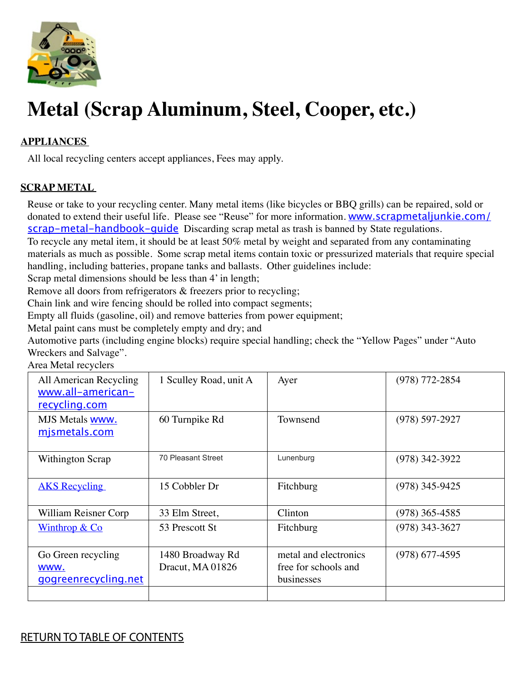<span id="page-11-0"></span>

# **Metal (Scrap Aluminum, Steel, Cooper, etc.)**

## **Appliances**

All local recycling centers accept appliances, Fees may apply.

#### **Scrap metal**

Reuse or take to your recycling center. Many metal items (like bicycles or BBQ grills) can be repaired, sold or donated to extend their useful life. Please see "Reuse" for more information. [www.scrapmetaljunkie.com/](http://www.scrapmetaljunkie.com/scrap-metal-handbook-guide) scrap-metal-handbook-quide Discarding scrap metal as trash is banned by State regulations.

To recycle any metal item, it should be at least 50% metal by weight and separated from any contaminating materials as much as possible. Some scrap metal items contain toxic or pressurized materials that require special handling, including batteries, propane tanks and ballasts. Other guidelines include:

Scrap metal dimensions should be less than 4' in length;

Remove all doors from refrigerators & freezers prior to recycling;

Chain link and wire fencing should be rolled into compact segments;

Empty all fluids (gasoline, oil) and remove batteries from power equipment;

Metal paint cans must be completely empty and dry; and

Automotive parts (including engine blocks) require special handling; check the "Yellow Pages" under "Auto Wreckers and Salvage".

| All American Recycling<br>www.all-american-<br><u>recycling.com</u> | 1 Sculley Road, unit A               | Ayer                                                        | $(978)$ 772-2854   |
|---------------------------------------------------------------------|--------------------------------------|-------------------------------------------------------------|--------------------|
| MJS Metals www.<br>mismetals.com                                    | 60 Turnpike Rd                       | Townsend                                                    | $(978) 597 - 2927$ |
| Withington Scrap                                                    | 70 Pleasant Street                   | Lunenburg                                                   | $(978)$ 342-3922   |
| <b>AKS</b> Recycling                                                | 15 Cobbler Dr                        | Fitchburg                                                   | $(978)$ 345-9425   |
| William Reisner Corp                                                | 33 Elm Street,                       | Clinton                                                     | $(978)$ 365-4585   |
| <u>Winthrop &amp; Co</u>                                            | 53 Prescott St                       | Fitchburg                                                   | $(978)$ 343-3627   |
| Go Green recycling<br>WWW.<br>gogreenrecycling.net                  | 1480 Broadway Rd<br>Dracut, MA 01826 | metal and electronics<br>free for schools and<br>businesses | $(978)$ 677-4595   |
|                                                                     |                                      |                                                             |                    |

#### Area Metal recyclers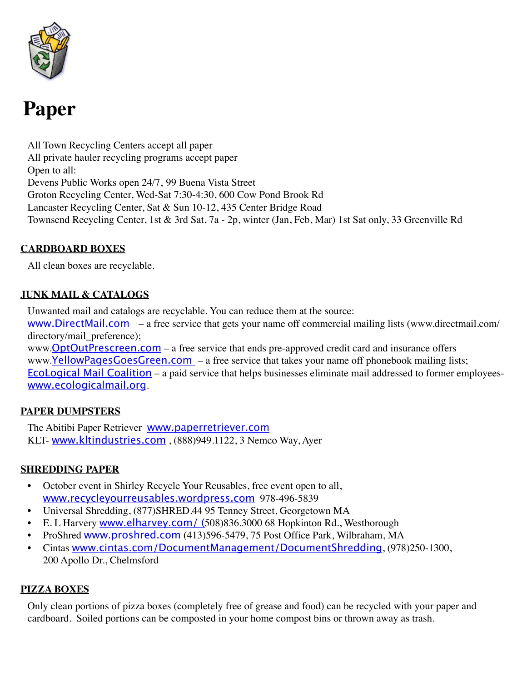<span id="page-12-0"></span>

# **Paper**

All Town Recycling Centers accept all paper All private hauler recycling programs accept paper Open to all: Devens Public Works open 24/7, 99 Buena Vista Street Groton Recycling Center, Wed-Sat 7:30-4:30, 600 Cow Pond Brook Rd Lancaster Recycling Center, Sat & Sun 10-12, 435 Center Bridge Road Townsend Recycling Center, 1st & 3rd Sat, 7a - 2p, winter (Jan, Feb, Mar) 1st Sat only, 33 Greenville Rd

### **Cardboard boxes**

All clean boxes are recyclable.

#### **Junk mail & catalogs**

Unwanted mail and catalogs are recyclable. You can reduce them at the source: [www.DirectMail.com](http://www.DirectMail.com) – a free service that gets your name off commercial mailing lists (www.directmail.com/ directory/mail\_preference); www.**OptOutPrescreen.com** – a free service that ends pre-approved credit card and insurance offers www.YellowPagesGoesGreen.com – a free service that takes your name off phonebook mailing lists; EcoLogical Mail Coalition – a paid service that helps businesses eliminate mail addressed to former employees[www.ecologicalmail.org](http://www.ecologicalmail.org).

#### **Paper Dumpsters**

The Abitibi Paper Retriever **WWW.paperretriever.com** KLT- [www.kltindustries.com](http://www.kltindustries.com) , (888)949.1122, 3 Nemco Way, Ayer

#### **Shredding paper**

- October event in Shirley Recycle Your Reusables, free event open to all, [www.recycleyourreusables.wordpress.com](http://www.recycleyourreusables.wordpress.com) 978-496-5839
- Universal Shredding, (877)SHRED.44 95 Tenney Street, Georgetown MA
- E. L Harvery [www.elharvey.com/](http://www.elharvey.com/) (508)836.3000 68 Hopkinton Rd., Westborough
- ProShred [www.proshred.com](http://www.proshred.com) (413)596-5479, 75 Post Office Park, Wilbraham, MA
- Cintas [www.cintas.com/DocumentManagement/DocumentShredding](http://www.cintas.com/DocumentManagement/DocumentShredding.aspx), (978)250-1300, 200 Apollo Dr., Chelmsford

#### **Pizza boxes**

Only clean portions of pizza boxes (completely free of grease and food) can be recycled with your paper and cardboard. Soiled portions can be composted in your home compost bins or thrown away as trash.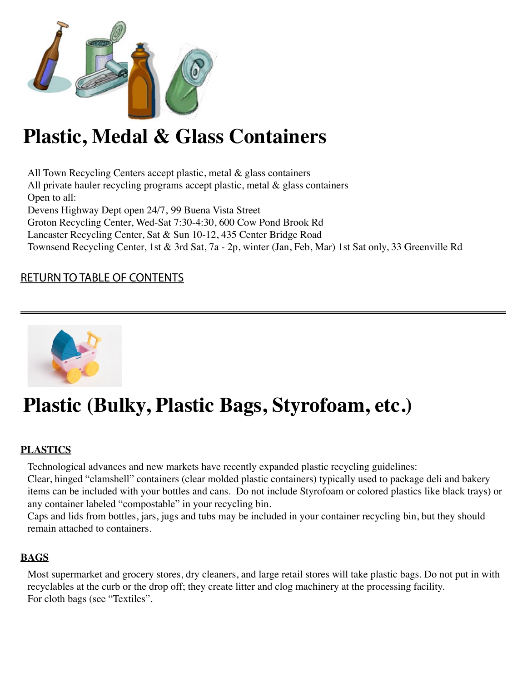<span id="page-13-0"></span>

# **Plastic, Medal & Glass Containers**

All Town Recycling Centers accept plastic, metal & glass containers All private hauler recycling programs accept plastic, metal  $\&$  glass containers Open to all: Devens Highway Dept open 24/7, 99 Buena Vista Street Groton Recycling Center, Wed-Sat 7:30-4:30, 600 Cow Pond Brook Rd Lancaster Recycling Center, Sat & Sun 10-12, 435 Center Bridge Road Townsend Recycling Center, 1st & 3rd Sat, 7a - 2p, winter (Jan, Feb, Mar) 1st Sat only, 33 Greenville Rd

# [Return to Table of Contents](#page-1-0)



# **Plastic (Bulky, Plastic Bags, Styrofoam, etc.)**

## **Plastics**

Technological advances and new markets have recently expanded plastic recycling guidelines:

Clear, hinged "clamshell" containers (clear molded plastic containers) typically used to package deli and bakery items can be included with your bottles and cans. Do not include Styrofoam or colored plastics like black trays) or any container labeled "compostable" in your recycling bin.

Caps and lids from bottles, jars, jugs and tubs may be included in your container recycling bin, but they should remain attached to containers.

## **Bags**

Most supermarket and grocery stores, dry cleaners, and large retail stores will take plastic bags. Do not put in with recyclables at the curb or the drop off; they create litter and clog machinery at the processing facility. For cloth bags (see "Textiles".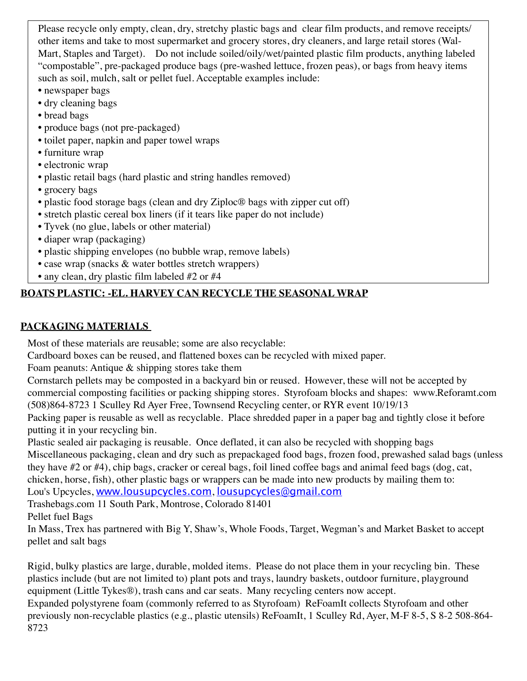Please recycle only empty, clean, dry, stretchy plastic bags and clear film products, and remove receipts/ other items and take to most supermarket and grocery stores, dry cleaners, and large retail stores (Wal-Mart, Staples and Target). Do not include soiled/oily/wet/painted plastic film products, anything labeled "compostable", pre-packaged produce bags (pre-washed lettuce, frozen peas), or bags from heavy items such as soil, mulch, salt or pellet fuel. Acceptable examples include:

- newspaper bags
- dry cleaning bags
- bread bags
- produce bags (not pre-packaged)
- toilet paper, napkin and paper towel wraps
- furniture wrap
- electronic wrap
- plastic retail bags (hard plastic and string handles removed)
- grocery bags
- plastic food storage bags (clean and dry Ziploc® bags with zipper cut off)
- stretch plastic cereal box liners (if it tears like paper do not include)
- Tyvek (no glue, labels or other material)
- diaper wrap (packaging)
- plastic shipping envelopes (no bubble wrap, remove labels)
- case wrap (snacks & water bottles stretch wrappers)
- any clean, dry plastic film labeled #2 or #4

# **Boats plastic: -EL. Harvey can recycle the seasonal wrap**

## **Packaging materials**

Most of these materials are reusable; some are also recyclable:

Cardboard boxes can be reused, and flattened boxes can be recycled with mixed paper.

Foam peanuts: Antique & shipping stores take them

Cornstarch pellets may be composted in a backyard bin or reused. However, these will not be accepted by commercial composting facilities or packing shipping stores. Styrofoam blocks and shapes: www.Reforamt.com (508)864-8723 1 Sculley Rd Ayer Free, Townsend Recycling center, or RYR event 10/19/13

Packing paper is reusable as well as recyclable. Place shredded paper in a paper bag and tightly close it before putting it in your recycling bin.

Plastic sealed air packaging is reusable. Once deflated, it can also be recycled with shopping bags Miscellaneous packaging, clean and dry such as prepackaged food bags, frozen food, prewashed salad bags (unless they have #2 or #4), chip bags, cracker or cereal bags, foil lined coffee bags and animal feed bags (dog, cat, chicken, horse, fish), other plastic bags or wrappers can be made into new products by mailing them to: Lou's Upcycles, [www.lousupcycles.com](http://www.lousupcycles.com), [lousupcycles@gmail.com](mailto:lousupcycles@gmail.com)

Trashebags.com 11 South Park, Montrose, Colorado 81401

Pellet fuel Bags

In Mass, Trex has partnered with Big Y, Shaw's, Whole Foods, Target, Wegman's and Market Basket to accept pellet and salt bags

Rigid, bulky plastics are large, durable, molded items. Please do not place them in your recycling bin. These plastics include (but are not limited to) plant pots and trays, laundry baskets, outdoor furniture, playground equipment (Little Tykes®), trash cans and car seats. Many recycling centers now accept.

Expanded polystyrene foam (commonly referred to as Styrofoam) ReFoamIt collects Styrofoam and other previously non-recyclable plastics (e.g., plastic utensils) ReFoamIt, 1 Sculley Rd, Ayer, M-F 8-5, S 8-2 508-864- 8723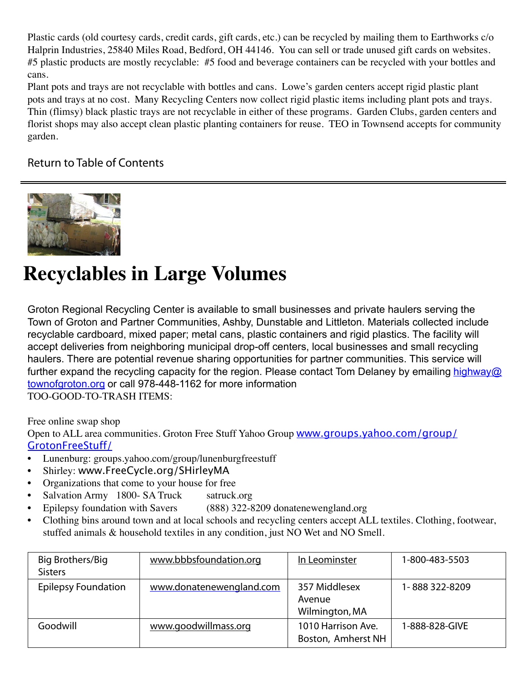<span id="page-15-0"></span>Plastic cards (old courtesy cards, credit cards, gift cards, etc.) can be recycled by mailing them to Earthworks c/o Halprin Industries, 25840 Miles Road, Bedford, OH 44146. You can sell or trade unused gift cards on websites. #5 plastic products are mostly recyclable: #5 food and beverage containers can be recycled with your bottles and cans.

Plant pots and trays are not recyclable with bottles and cans. Lowe's garden centers accept rigid plastic plant pots and trays at no cost. Many Recycling Centers now collect rigid plastic items including plant pots and trays. Thin (flimsy) black plastic trays are not recyclable in either of these programs. Garden Clubs, garden centers and florist shops may also accept clean plastic planting containers for reuse. TEO in Townsend accepts for community garden.

## [Return to Table of Contents](#page-1-0)



# **Recyclables in Large Volumes**

Groton Regional Recycling Center is available to small businesses and private haulers serving the Town of Groton and Partner Communities, Ashby, Dunstable and Littleton. Materials collected include recyclable cardboard, mixed paper; metal cans, plastic containers and rigid plastics. The facility will accept deliveries from neighboring municipal drop-off centers, local businesses and small recycling haulers. There are potential revenue sharing opportunities for partner communities. This service will further expand the recycling capacity for the region. Please contact Tom Delaney by emailing [highway@](mailto:highway@townofgroton.org) [townofgroton.org](mailto:highway@townofgroton.org) or call 978-448-1162 for more information TOO-GOOD-TO-TRASH ITEMS:

Free online swap shop

Open to ALL area communities. Groton Free Stuff Yahoo Group [www.groups.yahoo.com/group/](http://groups.yahoo.com/group/GrotonFreeStuff/) [GrotonFreeStuff/](http://groups.yahoo.com/group/GrotonFreeStuff/)

- Lunenburg: groups.yahoo.com/group/lunenburgfreestuff
- Shirley: www.FreeCycle.org/SHirleyMA
- Organizations that come to your house for free
- Salvation Army 1800- SA Truck satruck.org
- Epilepsy foundation with Savers (888) 322-8209 donatenewengland.org
- Clothing bins around town and at local schools and recycling centers accept ALL textiles. Clothing, footwear, stuffed animals & household textiles in any condition, just NO Wet and NO Smell.

| Big Brothers/Big<br><b>Sisters</b> | www.bbbsfoundation.org   | In Leominster                             | 1-800-483-5503 |
|------------------------------------|--------------------------|-------------------------------------------|----------------|
| <b>Epilepsy Foundation</b>         | www.donatenewengland.com | 357 Middlesex<br>Avenue<br>Wilmington, MA | 1-888322-8209  |
| Goodwill                           | www.goodwillmass.org     | 1010 Harrison Ave.<br>Boston, Amherst NH  | 1-888-828-GIVE |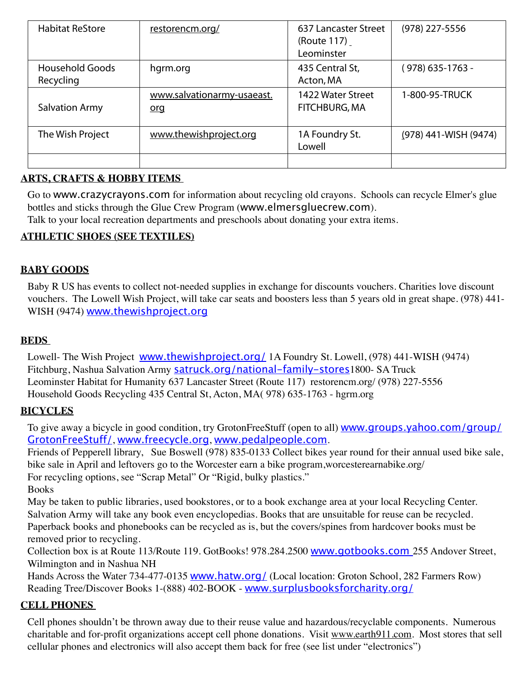| <b>Habitat ReStore</b>              | restorencm.org/                          | 637 Lancaster Street<br>(Route 117)<br>Leominster | (978) 227-5556        |
|-------------------------------------|------------------------------------------|---------------------------------------------------|-----------------------|
| <b>Household Goods</b><br>Recycling | hgrm.org                                 | 435 Central St,<br>Acton, MA                      | (978) 635-1763 -      |
| <b>Salvation Army</b>               | www.salvationarmy-usaeast.<br><u>org</u> | 1422 Water Street<br>FITCHBURG, MA                | 1-800-95-TRUCK        |
| The Wish Project                    | www.thewishproject.org                   | 1A Foundry St.<br>Lowell                          | (978) 441-WISH (9474) |
|                                     |                                          |                                                   |                       |

### **Arts, crafts & hobby items**

Go to [www.crazycrayons.com](http://www.crazycrayons.com) for information about recycling old crayons. Schools can recycle Elmer's glue bottles and sticks through the Glue Crew Program ([www.elmersgluecrew.com](http://www.elmersgluecrew.com)).

Talk to your local recreation departments and preschools about donating your extra items.

### **Athletic shoes (see textiles)**

#### **Baby Goods**

Baby R US has events to collect not-needed supplies in exchange for discounts vouchers. Charities love discount vouchers. The Lowell Wish Project, will take car seats and boosters less than 5 years old in great shape. (978) 441- WISH (9474) [www.thewishproject.org](file:///H:\ReUse%20Guide%20working%20doc%202-13\www.thewishproject.org)

#### **Beds**

Lowell- The Wish Project www.thewishproject.org / 1A Foundry St. Lowell, (978) 441-WISH (9474) Fitchburg, Nashua Salvation Army [satruck.org/national-family-stores](http://satruck.org/national-family-stores)1800- SA Truck Leominster Habitat for Humanity 637 Lancaster Street (Route 117) [restorencm.org/](http://restorencm.org/) (978) 227-5556 Household Goods Recycling 435 Central St, Acton, MA( 978) 635-1763 - hgrm.org

#### **Bicycles**

To give away a bicycle in good condition, try GrotonFreeStuff (open to all) **[www.groups.yahoo.com/group/](http://groups.yahoo.com/group/GrotonFreeStuff/)** [GrotonFreeStuff/](http://groups.yahoo.com/group/GrotonFreeStuff/), [www.freecycle.org](http://www.freecycle.org), [www.pedalpeople.com](http://www.pedalpeople.com).

Friends of Pepperell library, Sue Boswell (978) 835-0133 Collect bikes year round for their annual used bike sale, bike sale in April and leftovers go to the Worcester earn a bike program,worcesterearnabike.org/ For recycling options, see "Scrap Metal" Or "Rigid, bulky plastics."

Books

May be taken to public libraries, used bookstores, or to a book exchange area at your local Recycling Center. Salvation Army will take any book even encyclopedias. Books that are unsuitable for reuse can be recycled. Paperback books and phonebooks can be recycled as is, but the covers/spines from hardcover books must be removed prior to recycling.

Collection box is at Route 113/Route 119. GotBooks! 978.284.2500 [www.gotbooks.com](file:///C:\Users\Irene\Documents\MAC%20Files\FY13\2013%20TA\Guides\Nashboa\www.gotbooks.com) 255 Andover Street, Wilmington and in Nashua NH

Hands Across the Water 734-477-0135 **www.hatw.org**/ (Local location: Groton School, 282 Farmers Row) Reading Tree/Discover Books 1-(888) 402-BOOK - [www.surplusbooksforcharity.org/](http://www.surplusbooksforcharity.org/)

#### **Cell phones**

Cell phones shouldn't be thrown away due to their reuse value and hazardous/recyclable components. Numerous charitable and for-profit organizations accept cell phone donations. Visit www.earth911.com. Most stores that sell cellular phones and electronics will also accept them back for free (see list under "electronics")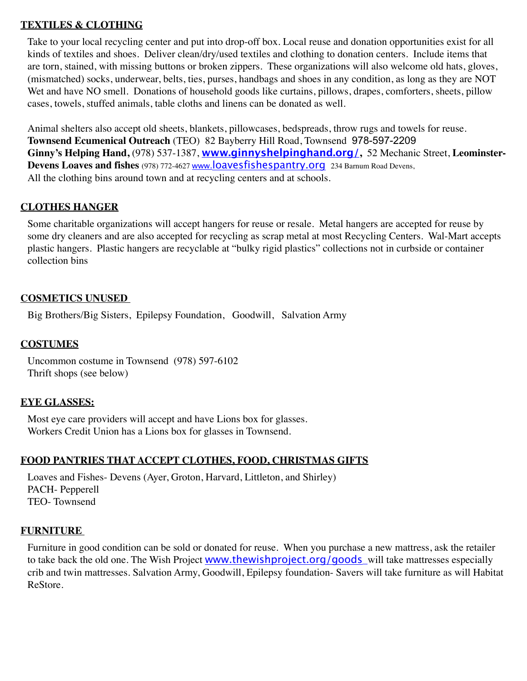#### **Textiles & Clothing**

Take to your local recycling center and put into drop-off box. Local reuse and donation opportunities exist for all kinds of textiles and shoes. Deliver clean/dry/used textiles and clothing to donation centers. Include items that are torn, stained, with missing buttons or broken zippers. These organizations will also welcome old hats, gloves, (mismatched) socks, underwear, belts, ties, purses, handbags and shoes in any condition, as long as they are NOT Wet and have NO smell. Donations of household goods like curtains, pillows, drapes, comforters, sheets, pillow cases, towels, stuffed animals, table cloths and linens can be donated as well.

Animal shelters also accept old sheets, blankets, pillowcases, bedspreads, throw rugs and towels for reuse. **Townsend Ecumenical Outreach** (TEO) 82 Bayberry Hill Road, Townsend 978-597-2209 **Ginny's Helping Hand,** (978) 537-1387, **[www.ginnyshelpinghand.org/](http://www.ginnyshelpinghand.org/),** 52 Mechanic Street, **Leominster-Devens Loaves and fishes** (978) 772-4627 [www.loavesfishespantry.org](http://www.loavesfishespantry.org) 234 Barnum Road Devens, All the clothing bins around town and at recycling centers and at schools.

#### **Clothes hanger**

Some charitable organizations will accept hangers for reuse or resale. Metal hangers are accepted for reuse by some dry cleaners and are also accepted for recycling as scrap metal at most Recycling Centers. Wal-Mart accepts plastic hangers. Plastic hangers are recyclable at "bulky rigid plastics" collections not in curbside or container collection bins

#### **Cosmetics unused**

Big Brothers/Big Sisters, Epilepsy Foundation, Goodwill, Salvation Army

#### **Costumes**

Uncommon costume in Townsend (978) 597-6102 Thrift shops (see below)

#### **Eye Glasses:**

Most eye care providers will accept and have Lions box for glasses. Workers Credit Union has a Lions box for glasses in Townsend.

## **Food Pantries that accept clothes, food, Christmas gifts**

Loaves and Fishes- Devens (Ayer, Groton, Harvard, Littleton, and Shirley) PACH- Pepperell TEO- Townsend

## **Furniture**

Furniture in good condition can be sold or donated for reuse. When you purchase a new mattress, ask the retailer to take back the old one. The Wish Project [www.thewishproject.org/goods](http://www.thewishproject.org/goods) will take mattresses especially crib and twin mattresses. Salvation Army, Goodwill, Epilepsy foundation- Savers will take furniture as will Habitat ReStore.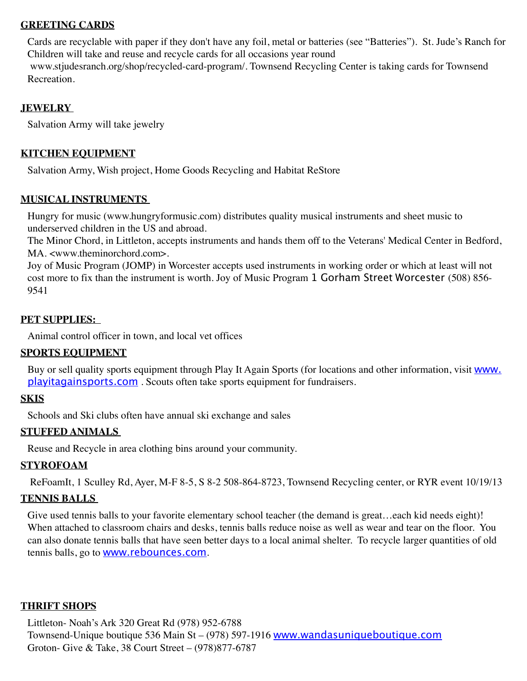#### **Greeting cards**

Cards are recyclable with paper if they don't have any foil, metal or batteries (see "Batteries"). St. Jude's Ranch for Children will take and reuse and recycle cards for all occasions year round  [www.stjudesranch.org/shop/recycled-card-program/.](http://www.stjudesranch.org/shop/recycled-card-program/) Townsend Recycling Center is taking cards for Townsend Recreation.

#### **Jewelry**

Salvation Army will take jewelry

#### **Kitchen Equipment**

Salvation Army, Wish project, Home Goods Recycling and Habitat ReStore

#### **Musical instruments**

Hungry for music (www.hungryformusic.com) distributes quality musical instruments and sheet music to underserved children in the US and abroad.

The Minor Chord, in Littleton, accepts instruments and hands them off to the Veterans' Medical Center in Bedford, MA. <www.theminorchord.com>.

Joy of Music Program (JOMP) in Worcester accepts used instruments in working order or which at least will not cost more to fix than the instrument is worth. Joy of Music Program 1 Gorham Street Worcester (508) 856- 9541

#### **Pet supplies:**

Animal control officer in town, and local vet offices

#### **Sports equipment**

Buy or sell quality sports equipment through Play It Again Sports (for locations and other information, visit [www.](http://www.playitagainsports.com) [playitagainsports.com](http://www.playitagainsports.com) . Scouts often take sports equipment for fundraisers.

#### **Skis**

Schools and Ski clubs often have annual ski exchange and sales

#### **Stuffed Animals**

Reuse and Recycle in area clothing bins around your community.

#### **Styrofoam**

ReFoamIt, 1 Sculley Rd, Ayer, M-F 8-5, S 8-2 508-864-8723, Townsend Recycling center, or RYR event 10/19/13

#### **Tennis balls**

Give used tennis balls to your favorite elementary school teacher (the demand is great...each kid needs eight)! When attached to classroom chairs and desks, tennis balls reduce noise as well as wear and tear on the floor. You can also donate tennis balls that have seen better days to a local animal shelter. To recycle larger quantities of old tennis balls, go to **[www.rebounces.com](http://www.rebounces.com/)**.

#### **Thrift Shops**

Littleton- Noah's Ark 320 Great Rd (978) 952-6788 Townsend-Unique boutique 536 Main St – (978) 597-1916 [www.wandasuniqueboutique.com](http://www.wandasuniqueboutique.com) Groton- Give & Take, 38 Court Street – (978)877-6787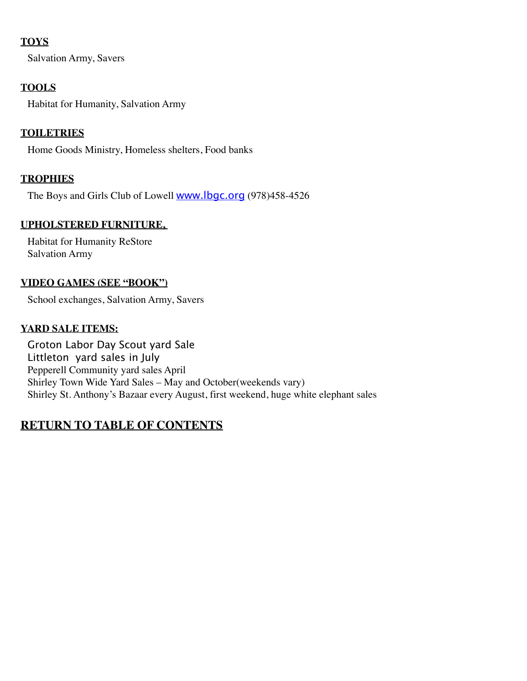### **Toys**

Salvation Army, Savers

## **Tools**

Habitat for Humanity, Salvation Army

### **Toiletries**

Home Goods Ministry, Homeless shelters, Food banks

### **Trophies**

The Boys and Girls Club of Lowell **[www.lbgc.org](http://www.lbgc.org)** (978)458-4526

#### **Upholstered furniture,**

Habitat for Humanity ReStore Salvation Army

#### **Video Games (See "Book")**

School exchanges, Salvation Army, Savers

### **Yard Sale items:**

Groton Labor Day Scout yard Sale Littleton yard sales in July Pepperell Community yard sales April Shirley Town Wide Yard Sales – May and October(weekends vary) Shirley St. Anthony's Bazaar every August, first weekend, huge white elephant sales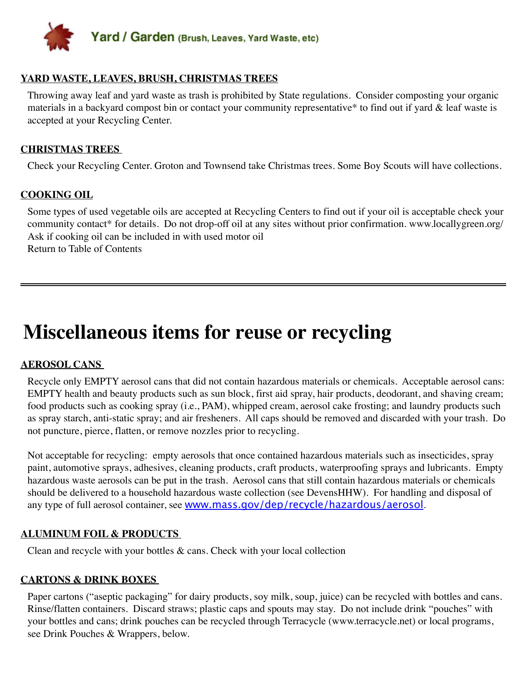<span id="page-20-0"></span>

#### **Yard waste, leaves, brush, Christmas trees**

Throwing away leaf and yard waste as trash is prohibited by State regulations. Consider composting your organic materials in a backyard compost bin or contact your community representative\* to find out if yard & leaf waste is accepted at your Recycling Center.

#### **Christmas trees**

Check your Recycling Center. Groton and Townsend take Christmas trees. Some Boy Scouts will have collections.

#### **Cooking oil**

Some types of used vegetable oils are accepted at Recycling Centers to find out if your oil is acceptable check your community contact\* for details. Do not drop-off oil at any sites without prior confirmation. www.locallygreen.org/ Ask if cooking oil can be included in with used motor oil Return to Table of Contents

# **Miscellaneous items for reuse or recycling**

#### **Aerosol cans**

Recycle only EMPTY aerosol cans that did not contain hazardous materials or chemicals. Acceptable aerosol cans: EMPTY health and beauty products such as sun block, first aid spray, hair products, deodorant, and shaving cream; food products such as cooking spray (i.e., PAM), whipped cream, aerosol cake frosting; and laundry products such as spray starch, anti-static spray; and air fresheners. All caps should be removed and discarded with your trash. Do not puncture, pierce, flatten, or remove nozzles prior to recycling.

Not acceptable for recycling: empty aerosols that once contained hazardous materials such as insecticides, spray paint, automotive sprays, adhesives, cleaning products, craft products, waterproofing sprays and lubricants. Empty hazardous waste aerosols can be put in the trash. Aerosol cans that still contain hazardous materials or chemicals should be delivered to a household hazardous waste collection (see DevensHHW). For handling and disposal of any type of full aerosol container, see [www.mass.gov/dep/recycle/hazardous/aerosol](http://www.mass.gov/dep/recycle/hazardous/aerosol.htm).

#### **Aluminum foil & products**

Clean and recycle with your bottles & cans. Check with your local collection

#### **Cartons & drink boxes**

Paper cartons ("aseptic packaging" for dairy products, soy milk, soup, juice) can be recycled with bottles and cans. Rinse/flatten containers. Discard straws; plastic caps and spouts may stay. Do not include drink "pouches" with your bottles and cans; drink pouches can be recycled through Terracycle ([www.terracycle.net\)](http://www.terracycle.net) or local programs, see Drink Pouches & Wrappers, below.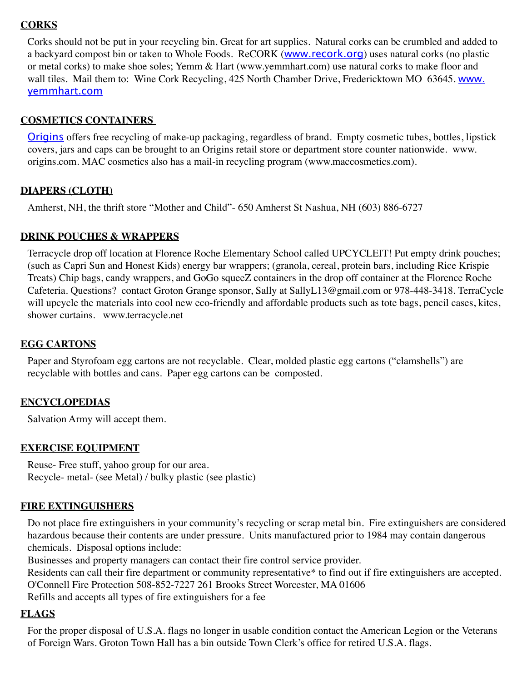#### **Corks**

Corks should not be put in your recycling bin. Great for art supplies. Natural corks can be crumbled and added to a backyard compost bin or taken to Whole Foods. ReCORK ([www.recork.org](http://www.recork.org)) uses natural corks (no plastic or metal corks) to make shoe soles; Yemm & Hart (www.yemmhart.com) use natural corks to make floor and wall tiles. Mail them to: Wine Cork Recycling, 425 North Chamber Drive, Fredericktown MO 63645. [www.](http://www.yemmhart.com) [yemmhart.com](http://www.yemmhart.com)

#### **Cosmetics containers**

[Origins](http://earth911.com/blog/2009/04/09/cosmetic-retailer-offers-packaging-recycling/) offers free recycling of make-up packaging, regardless of brand. Empty cosmetic tubes, bottles, lipstick covers, jars and caps can be brought to an Origins retail store or department store counter nationwide. www. origins.com. MAC cosmetics also has a mail-in recycling program (www.maccosmetics.com).

#### **Diapers (Cloth)**

Amherst, NH, the thrift store "Mother and Child"- 650 Amherst St Nashua, NH (603) 886-6727

#### **Drink pouches & Wrappers**

Terracycle drop off location at Florence Roche Elementary School called UPCYCLEIT! Put empty drink pouches; (such as Capri Sun and Honest Kids) energy bar wrappers; (granola, cereal, protein bars, including Rice Krispie Treats) Chip bags, candy wrappers, and GoGo squeeZ containers in the drop off container at the Florence Roche Cafeteria. Questions? contact Groton Grange sponsor, Sally at SallyL13@gmail.com or 978-448-3418. TerraCycle will upcycle the materials into cool new eco-friendly and affordable products such as tote bags, pencil cases, kites, shower curtains. www.terracycle.net

#### **Egg cartons**

Paper and Styrofoam egg cartons are not recyclable. Clear, molded plastic egg cartons ("clamshells") are recyclable with bottles and cans. Paper egg cartons can be composted.

#### **Encyclopedias**

Salvation Army will accept them.

#### **Exercise equipment**

Reuse- Free stuff, yahoo group for our area. Recycle- metal- (see Metal) / bulky plastic (see plastic)

#### **Fire extinguishers**

Do not place fire extinguishers in your community's recycling or scrap metal bin. Fire extinguishers are considered hazardous because their contents are under pressure. Units manufactured prior to 1984 may contain dangerous chemicals. Disposal options include:

Businesses and property managers can contact their fire control service provider.

Residents can call their fire department or community representative\* to find out if fire extinguishers are accepted. O'Connell Fire Protection 508-852-7227 261 Brooks Street Worcester, MA 01606 Refills and accepts all types of fire extinguishers for a fee

#### **Flags**

For the proper disposal of U.S.A. flags no longer in usable condition contact the American Legion or the Veterans of Foreign Wars. Groton Town Hall has a bin outside Town Clerk's office for retired U.S.A. flags.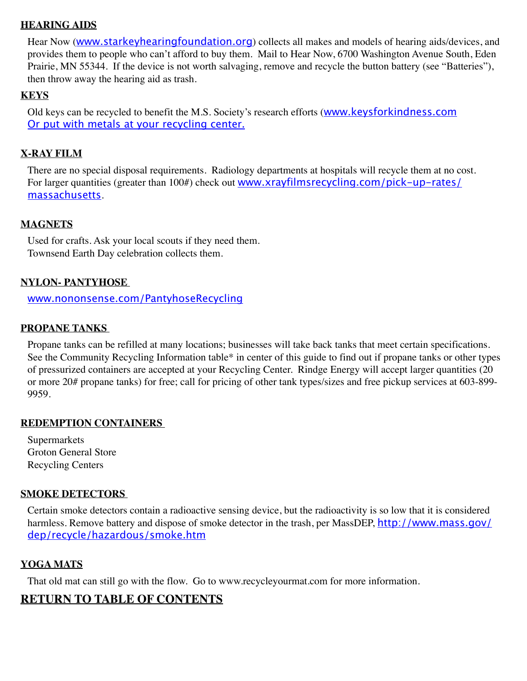#### **Hearing aids**

Hear Now ([www.starkeyhearingfoundation.org](http://www.starkeyhearingfoundation.org)) collects all makes and models of hearing aids/devices, and provides them to people who can't afford to buy them. Mail to Hear Now, 6700 Washington Avenue South, Eden Prairie, MN 55344. If the device is not worth salvaging, remove and recycle the button battery (see "Batteries"), then throw away the hearing aid as trash.

#### **Keys**

Old keys can be recycled to benefit the M.S. Society's research efforts ([www.keysforkindness.com](http://www.keysforkindness.com/) Or put with metals at your recycling center.

#### **X-Ray film**

There are no special disposal requirements. Radiology departments at hospitals will recycle them at no cost. For larger quantities (greater than 100#) check out [www.xrayfilmsrecycling.com/pick-up-rates/](http://www.xrayfilmsrecycling.com/pick-up-rates/massachusetts.htm) [massachusetts](http://www.xrayfilmsrecycling.com/pick-up-rates/massachusetts.htm).

#### **Magnets**

Used for crafts. Ask your local scouts if they need them. Townsend Earth Day celebration collects them.

#### **Nylon- Pantyhose**

[www.nononsense.com/PantyhoseRecycling](http://www.nononsense.com/PantyhoseRecycling.aspx)

#### **Propane tanks**

Propane tanks can be refilled at many locations; businesses will take back tanks that meet certain specifications. See the Community Recycling Information table\* in center of this guide to find out if propane tanks or other types of pressurized containers are accepted at your Recycling Center. Rindge Energy will accept larger quantities (20 or more 20# propane tanks) for free; call for pricing of other tank types/sizes and free pickup services at 603-899- 9959.

#### **Redemption Containers**

Supermarkets Groton General Store Recycling Centers

#### **Smoke detectors**

Certain smoke detectors contain a radioactive sensing device, but the radioactivity is so low that it is considered harmless. Remove battery and dispose of smoke detector in the trash, per MassDEP, http://www.mass.qov/ [dep/recycle/hazardous/smoke.htm](http://www.mass.gov/dep/recycle/hazardous/smoke.htm)

#### **Yoga mats**

That old mat can still go with the flow. Go to www.recycleyourmat.com for more information.